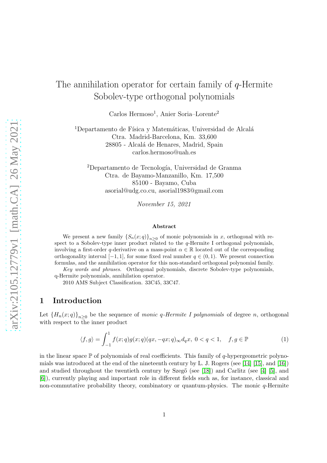# The annihilation operator for certain family of q-Hermite Sobolev-type orthogonal polynomials

Carlos Hermoso<sup>1</sup>, Anier Soria–Lorente<sup>2</sup>

 $1$ Departamento de Física y Matemáticas, Universidad de Alcalá Ctra. Madrid-Barcelona, Km. 33,600 28805 - Alcalá de Henares, Madrid, Spain carlos.hermoso@uah.es

<sup>2</sup>Departamento de Tecnología, Universidad de Granma Ctra. de Bayamo-Manzanillo, Km. 17,500 85100 - Bayamo, Cuba asorial@udg.co.cu, asorial1983@gmail.com

November 15, 2021

#### Abstract

We present a new family  $\{S_n(x; q)\}_{n\geq 0}$  of monic polynomials in x, orthogonal with respect to a Sobolev-type inner product related to the  $q$ -Hermite I orthogonal polynomials, involving a first-order q-derivative on a mass-point  $\alpha \in \mathbb{R}$  located out of the corresponding orthogonality interval  $[-1, 1]$ , for some fixed real number  $q \in (0, 1)$ . We present connection formulas, and the annihilation operator for this non-standard orthogonal polynomial family.

Key words and phrases. Orthogonal polynomials, discrete Sobolev-type polynomials, q-Hermite polynomials, annihilation operator.

2010 AMS Subject Classification. 33C45, 33C47.

## 1 Introduction

Let  ${H_n(x;q)}_{n\geq 0}$  be the sequence of *monic q-Hermite I polynomials* of degree *n*, orthogonal with respect to the inner product

<span id="page-0-0"></span>
$$
\langle f, g \rangle = \int_{-1}^{1} f(x; q) g(x; q) (qx, -qx; q)_{\infty} d_q x, \ 0 < q < 1, \quad f, g \in \mathbb{P} \tag{1}
$$

in the linear space  $\mathbb P$  of polynomials of real coefficients. This family of q-hypergeometric polynomials was introduced at the end of the nineteenth century by L. J. Rogers (see [\[14\]](#page-11-0) [\[15\]](#page-11-1), and [\[16\]](#page-11-2)) and studied throughout the twentieth century by Szeg $\acute{o}$  (see [\[18\]](#page-11-3)) and Carlitz (see [\[4\]](#page-10-0) [\[5\]](#page-10-1), and [\[6\]](#page-10-2)), currently playing and important role in different fields such as, for instance, classical and non-commutative probability theory, combinatory or quantum-physics. The monic  $q$ -Hermite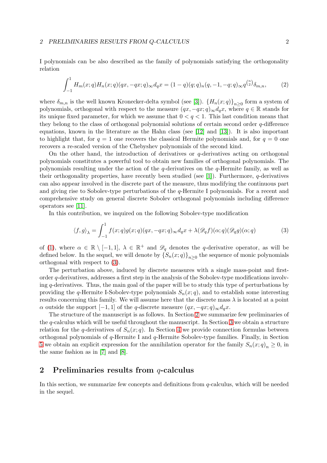#### 2 PRELIMINARIES RESULTS FROM Q-CALCULUS 2

I polynomials can be also described as the family of polynomials satisfying the orthogonality relation

$$
\int_{-1}^{1} H_m(x;q)H_n(x;q)(qx,-qx;q)_{\infty}d_qx = (1-q)(q;q)_n(q,-1,-q;q)_{\infty}q^{\binom{n}{2}}\delta_{m,n},\tag{2}
$$

where  $\delta_{m,n}$  is the well known Kronecker-delta symbol (see [\[3\]](#page-10-3)).  $\{H_n(x;q)\}_{n\geq 0}$  form a system of polynomials, orthogonal with respect to the measure  $(qx, -qx; q)_{\infty}d_qx$ , where  $q \in \mathbb{R}$  stands for its unique fixed parameter, for which we assume that  $0 < q < 1$ . This last condition means that they belong to the class of orthogonal polynomial solutions of certain second order q-difference equations, known in the literature as the Hahn class (see [\[12\]](#page-10-4) and [\[13\]](#page-10-5)). It is also important to highlight that, for  $q = 1$  one recovers the classical Hermite polynomials and, for  $q = 0$  one recovers a re-scaled version of the Chebyshev polynomials of the second kind.

On the other hand, the introduction of derivatives or  $q$ -derivatives acting on orthogonal polynomials constitutes a powerful tool to obtain new families of orthogonal polynomials. The polynomials resulting under the action of the  $q$ -derivatives on the  $q$ -Hermite family, as well as their orthogonality properties, have recently been studied (see [\[1\]](#page-10-6)). Furthermore,  $q$ -derivatives can also appear involved in the discrete part of the measure, thus modifying the continuous part and giving rise to Sobolev-type perturbations of the q-Hermite I polynomials. For a recent and comprehensive study on general discrete Sobolev orthogonal polynomials including difference operators see [\[11\]](#page-10-7).

In this contribution, we inquired on the following Sobolev-type modification

<span id="page-1-0"></span>
$$
\langle f, g \rangle_{\lambda} = \int_{-1}^{1} f(x; q) g(x; q) (qx, -qx; q)_{\infty} d_q x + \lambda (\mathscr{D}_q f)(\alpha; q) (\mathscr{D}_q g)(\alpha; q)
$$
(3)

of [\(1\)](#page-0-0), where  $\alpha \in \mathbb{R} \setminus [-1,1], \lambda \in \mathbb{R}^+$  and  $\mathscr{D}_q$  denotes the q-derivative operator, as will be defined below. In the sequel, we will denote by  $\left\{S_n(x;q)\right\}_{n\geq 0}$  the sequence of monic polynomials orthogonal with respect to [\(3\)](#page-1-0).

The perturbation above, induced by discrete measures with a single mass-point and firstorder q-derivatives, addresses a first step in the analysis of the Sobolev-type modifications involving  $q$ -derivatives. Thus, the main goal of the paper will be to study this type of perturbations by providing the q-Hermite I-Sobolev-type polynomials  $S_n(x; q)$ , and to establish some interesting results concerning this family. We will assume here that the discrete mass  $\lambda$  is located at a point  $\alpha$  outside the support  $[-1, 1]$  of the q-discrete measure  $(qx, -qx; q)_{\infty}d_qx$ .

The structure of the manuscript is as follows. In Section [2](#page-1-1) we summarize few preliminaries of the q-calculus which will be useful throughout the manuscript. In Section [3](#page-3-0) we obtain a structure relation for the q-derivatives of  $S_n(x; q)$ . In Section [4](#page-5-0) we provide connection formulas between orthogonal polynomials of q-Hermite I and q-Hermite Sobolev-type families. Finally, in Section [5](#page-9-0) we obtain an explicit expression for the annihilation operator for the family  $S_n(x; q)_n \geq 0$ , in the same fashion as in [\[7\]](#page-10-8) and [\[8\]](#page-10-9).

### <span id="page-1-1"></span>2 Preliminaries results from q-calculus

In this section, we summarize few concepts and definitions from q-calculus, which will be needed in the sequel.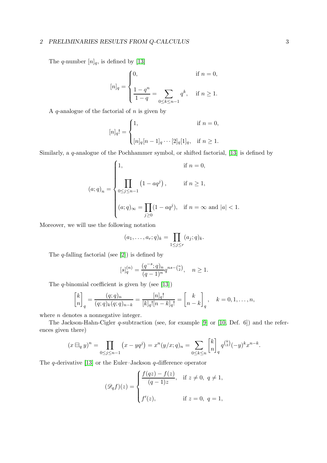#### 2 PRELIMINARIES RESULTS FROM Q-CALCULUS 3

The q-number  $[n]_q$ , is defined by [\[13\]](#page-10-5)

$$
[n]_q = \begin{cases} 0, & \text{if } n = 0, \\ \frac{1 - q^n}{1 - q} = \sum_{0 \le k \le n-1} q^k, & \text{if } n \ge 1. \end{cases}
$$

A  $q$ -analogue of the factorial of  $n$  is given by

$$
[n]_q! = \begin{cases} 1, & \text{if } n = 0, \\ [n]_q [n-1]_q \cdots [2]_q [1]_q, & \text{if } n \ge 1. \end{cases}
$$

Similarly, a q-analogue of the Pochhammer symbol, or shifted factorial, [\[13\]](#page-10-5) is defined by

$$
(a;q)_n = \begin{cases} 1, & \text{if } n = 0, \\ & \\ \prod_{0 \le j \le n-1} (1 - aq^j), & \text{if } n \ge 1, \\ & \\ (a;q)_{\infty} = \prod_{j \ge 0} (1 - aq^j), & \text{if } n = \infty \text{ and } |a| < 1. \end{cases}
$$

Moreover, we will use the following notation

$$
(a_1,\ldots,a_r;q)_k=\prod_{1\leq j\leq r}(a_j;q)_k.
$$

The  $q$ -falling factorial (see [\[2\]](#page-10-10)) is defined by

$$
[s]_q^{(n)} = \frac{(q^{-s};q)_n}{(q-1)^n} q^{ns - {n \choose 2}}, \quad n \ge 1.
$$

The  $q$ -binomial coefficient is given by (see [\[13\]](#page-10-5))

$$
\begin{bmatrix} k \\ n \end{bmatrix}_q = \frac{(q;q)_n}{(q;q)_k (q;q)_{n-k}} = \frac{[n]_q!}{[k]_q! [n-k]_q!} = \begin{bmatrix} k \\ n-k \end{bmatrix}_q, \quad k = 0, 1, \dots, n,
$$

where  $n$  denotes a nonnegative integer.

The Jackson-Hahn-Cigler q-subtraction (see, for example [\[9\]](#page-10-11) or [\[10,](#page-10-12) Def. 6]) and the references given there)

$$
(x \boxminus_q y)^n = \prod_{0 \le j \le n-1} (x - yq^j) = x^n (y/x; q)_n = \sum_{0 \le k \le n} \begin{bmatrix} k \\ n \end{bmatrix}_q q^{\binom{k}{2}} (-y)^k x^{n-k}.
$$

The  $q$ -derivative [\[13\]](#page-10-5) or the Euler–Jackson  $q$ -difference operator

$$
(\mathscr{D}_q f)(z) = \begin{cases} \frac{f(qz) - f(z)}{(q-1)z}, & \text{if } z \neq 0, \ q \neq 1, \\ f'(z), & \text{if } z = 0, \ q = 1, \end{cases}
$$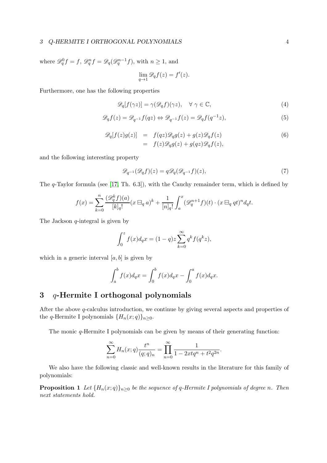where  $\mathscr{D}_{q}^{0} f = f$ ,  $\mathscr{D}_{q}^{n} f = \mathscr{D}_{q}(\mathscr{D}_{q}^{n-1} f)$ , with  $n \geq 1$ , and  $\lim_{q \to 1} \mathcal{D}_q f(z) = f'(z).$ 

Furthermore, one has the following properties

$$
\mathscr{D}_q[f(\gamma z)] = \gamma(\mathscr{D}_q f)(\gamma z), \quad \forall \ \gamma \in \mathbb{C}, \tag{4}
$$

<span id="page-3-2"></span>
$$
\mathscr{D}_q f(z) = \mathscr{D}_{q^{-1}} f(qz) \Leftrightarrow \mathscr{D}_{q^{-1}} f(z) = \mathscr{D}_q f(q^{-1}z),\tag{5}
$$

<span id="page-3-1"></span>
$$
\mathcal{D}_q[f(z)g(z)] = f(qz)\mathcal{D}_qg(z) + g(z)\mathcal{D}_qf(z)
$$
  
=  $f(z)\mathcal{D}_qg(z) + g(qz)\mathcal{D}_qf(z),$  (6)

and the following interesting property

$$
\mathscr{D}_{q^{-1}}(\mathscr{D}_q f)(z) = q \mathscr{D}_q(\mathscr{D}_{q^{-1}} f)(z),\tag{7}
$$

The q-Taylor formula (see [\[17,](#page-11-4) Th. 6.3]), with the Cauchy remainder term, which is defined by

$$
f(x) = \sum_{k=0}^{n} \frac{(\mathcal{D}_q^k f)(a)}{[k]_q!} (x \boxminus_q a)^k + \frac{1}{[n]_q!} \int_a^x (\mathcal{D}_q^{n+1} f)(t) \cdot (x \boxminus_q qt)^n d_qt.
$$

The Jackson  $q$ -integral is given by

$$
\int_0^z f(x)d_qx = (1-q)z \sum_{k=0}^\infty q^k f(q^k z),
$$

which in a generic interval  $[a, b]$  is given by

$$
\int_{a}^{b} f(x)d_{q}x = \int_{0}^{b} f(x)d_{q}x - \int_{0}^{a} f(x)d_{q}x.
$$

# <span id="page-3-0"></span>3 q-Hermite I orthogonal polynomials

After the above q-calculus introduction, we continue by giving several aspects and properties of the q-Hermite I polynomials  $\{H_n(x; q)\}_{n\geq 0}$ .

The monic  $q$ -Hermite I polynomials can be given by means of their generating function:

$$
\sum_{n=0}^{\infty} H_n(x;q) \frac{t^n}{(q;q)_n} = \prod_{n=0}^{\infty} \frac{1}{1 - 2xtq^n + t^2q^{2n}}.
$$

We also have the following classic and well-known results in the literature for this family of polynomials:

**Proposition 1** Let  ${H_n(x;q)}_{n>0}$  be the sequence of q-Hermite I polynomials of degree n. Then next statements hold.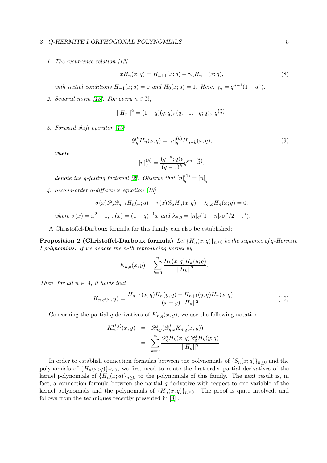#### 3 Q-HERMITE I ORTHOGONAL POLYNOMIALS 5

1. The recurrence relation [\[13\]](#page-10-5)

<span id="page-4-1"></span>
$$
xH_n(x;q) = H_{n+1}(x;q) + \gamma_n H_{n-1}(x;q),\tag{8}
$$

with initial conditions  $H_{-1}(x;q) = 0$  and  $H_0(x;q) = 1$ . Here,  $\gamma_n = q^{n-1}(1-q^n)$ .

2. Squared norm [\[13\]](#page-10-5). For every  $n \in \mathbb{N}$ ,

$$
||H_n||^2 = (1-q)(q;q)_n(q,-1,-q;q)_{\infty} q^{\binom{n}{2}}.
$$

3. Forward shift operator [\[13\]](#page-10-5)

<span id="page-4-0"></span>
$$
\mathscr{D}_q^k H_n(x;q) = [n]_q^{(k)} H_{n-k}(x;q),\tag{9}
$$

where

$$
[n]_q^{(k)} = \frac{(q^{-n}; q)_k}{(q-1)^k} q^{kn - {k \choose 2}},
$$

denote the q-falling factorial [\[2\]](#page-10-10). Observe that  $[n]_q^{(1)} = [n]_q$ .

4. Second-order q-difference equation [\[13\]](#page-10-5)

$$
\sigma(x)\mathscr{D}_q\mathscr{D}_{q^{-1}}H_n(x;q)+\tau(x)\mathscr{D}_qH_n(x;q)+\lambda_{n,q}H_n(x;q)=0,
$$
  
where  $\sigma(x)=x^2-1$ ,  $\tau(x)=(1-q)^{-1}x$  and  $\lambda_{n,q}=[n]_q([1-n]_q\sigma''/2-\tau').$ 

A Christoffel-Darboux formula for this family can also be established:

**Proposition 2 (Christoffel-Darboux formula)** Let  $\{H_n(x; q)\}_{n\geq 0}$  be the sequence of q-Hermite I polynomials. If we denote the n-th reproducing kernel by

$$
K_{n,q}(x,y) = \sum_{k=0}^{n} \frac{H_k(x;q)H_k(y;q)}{||H_k||^2}.
$$

Then, for all  $n \in \mathbb{N}$ , it holds that

$$
K_{n,q}(x,y) = \frac{H_{n+1}(x;q)H_n(y;q) - H_{n+1}(y;q)H_n(x;q)}{(x-y)\,||H_n||^2}.
$$
\n(10)

Concerning the partial q-derivatives of  $K_{n,q}(x, y)$ , we use the following notation

$$
K_{n,q}^{(i,j)}(x,y) = \mathcal{D}_{q,y}^{j}(\mathcal{D}_{q,x}^{i}K_{n,q}(x,y))
$$
  
= 
$$
\sum_{k=0}^{n} \frac{\mathcal{D}_{q}^{i}H_{k}(x;q)\mathcal{D}_{q}^{j}H_{k}(y;q)}{||H_{k}||^{2}}.
$$

<span id="page-4-2"></span>In order to establish connection formulas between the polynomials of  $\{S_n(x; q)\}_{n\geq 0}$  and the polynomials of  $\{H_n(x; q)\}_{n\geq 0}$ , we first need to relate the first-order partial derivatives of the kernel polynomials of  $\{H_n(x; q)\}\$ <sub>n</sub> $>0$  to the polynomials of this family. The next result is, in fact, a connection formula between the partial  $q$ -derivative with respect to one variable of the kernel polynomials and the polynomials of  ${H_n(x;q)}_{n\geq 0}$ . The proof is quite involved, and follows from the techniques recently presented in [\[8\]](#page-10-9) .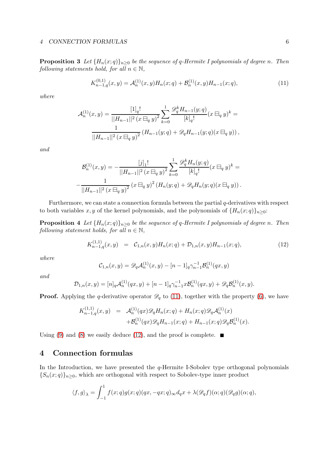**Proposition 3** Let  $\{H_n(x; q)\}_{n\geq 0}$  be the sequence of q-Hermite I polynomials of degree n. Then following statements hold, for all  $n \in \mathbb{N}$ ,

<span id="page-5-1"></span>
$$
K_{n-1,q}^{(0,1)}(x,y) = \mathcal{A}_n^{(1)}(x,y)H_n(x;q) + \mathcal{B}_n^{(1)}(x,y)H_{n-1}(x;q),
$$
\n(11)

where

$$
\mathcal{A}_n^{(1)}(x,y) = \frac{\left[1\right]_q!}{\left||H_{n-1}||^2 (x \boxminus_q y)^2 \sum_{k=0}^1 \frac{\mathscr{D}_q^k H_{n-1}(y;q)}{\left[k\right]_q!} (x \boxminus_q y)^k = \frac{1}{\left||H_{n-1}||^2 (x \boxminus_q y)^2} \left(H_{n-1}(y;q) + \mathscr{D}_q H_{n-1}(y;q)(x \boxminus_q y)\right),\right.
$$

and

$$
\mathcal{B}_n^{(1)}(x,y) = -\frac{[j]_1!}{||H_{n-1}||^2 (x \boxminus_q y)^2} \sum_{k=0}^1 \frac{\mathscr{D}_q^k H_n(y;q)}{[k]_q!} (x \boxminus_q y)^k =
$$
  

$$
-\frac{1}{||H_{n-1}||^2 (x \boxminus_q y)^2} (x \boxminus_q y)^2 (H_n(y;q) + \mathscr{D}_q H_n(y;q)(x \boxminus_q y)).
$$

Furthermore, we can state a connection formula between the partial q-derivatives with respect to both variables x, y of the kernel polynomials, and the polynomials of  $\{H_n(x; q)\}_{n>0}$ :

**Proposition 4** Let  $\{H_n(x; q)\}_{n\geq 0}$  be the sequence of q-Hermite I polynomials of degree n. Then following statement holds, for all  $n \in \mathbb{N}$ ,

<span id="page-5-2"></span>
$$
K_{n-1,q}^{(1,1)}(x,y) = C_{1,n}(x,y)H_n(x;q) + \mathcal{D}_{1,n}(x,y)H_{n-1}(x;q), \qquad (12)
$$

where

<span id="page-5-3"></span>
$$
\mathcal{C}_{1,n}(x,y) = \mathscr{D}_q \mathcal{A}_n^{(1)}(x,y) - [n-1]_q \gamma_{n-1}^{-1} \mathcal{B}_n^{(1)}(qx,y)
$$

and

$$
\mathcal{D}_{1,n}(x,y) = [n]_q \mathcal{A}_n^{(1)}(qx,y) + [n-1]_q \gamma_{n-1}^{-1} x \mathcal{B}_n^{(1)}(qx,y) + \mathcal{D}_q \mathcal{B}_n^{(1)}(x,y).
$$

**Proof.** Applying the q-derivative operator  $\mathscr{D}_q$  to [\(11\)](#page-5-1), together with the property [\(6\)](#page-3-1), we have

$$
K_{n-1,q}^{(1,1)}(x,y) = \mathcal{A}_n^{(1)}(qx)\mathscr{D}_q H_n(x;q) + H_n(x;q)\mathscr{D}_q \mathcal{A}_n^{(1)}(x) + \mathcal{B}_n^{(1)}(qx)\mathscr{D}_q H_{n-1}(x;q) + H_{n-1}(x;q)\mathscr{D}_q \mathcal{B}_n^{(1)}(x).
$$

Using [\(9\)](#page-4-0) and [\(8\)](#page-4-1) we easily deduce [\(12\)](#page-5-2), and the proof is complete.  $\blacksquare$ 

# <span id="page-5-0"></span>4 Connection formulas

In the Introduction, we have presented the  $q$ -Hermite I-Sobolev type orthogonal polynomials  ${S_n(x;q)}_{n\geq 0}$ , which are orthogonal with respect to Sobolev-type inner product

$$
\langle f, g \rangle_{\lambda} = \int_{-1}^{1} f(x; q) g(x; q) (qx, -qx; q)_{\infty} d_q x + \lambda(\mathscr{D}_q f)(\alpha; q) (\mathscr{D}_q g)(\alpha; q),
$$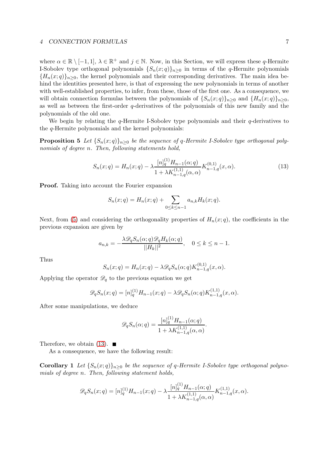where  $\alpha \in \mathbb{R} \setminus [-1,1], \lambda \in \mathbb{R}^+$  and  $j \in \mathbb{N}$ . Now, in this Section, we will express these q-Hermite I-Sobolev type orthogonal polynomials  ${S_n(x;q)_{n>0}}$  in terms of the q-Hermite polynomials  ${H_n(x;q)}_{n>0}$ , the kernel polynomials and their corresponding derivatives. The main idea behind the identities presented here, is that of expressing the new polynomials in terms of another with well-established properties, to infer, from these, those of the first one. As a consequence, we will obtain connection formulas between the polynomials of  ${S_n(x;q)}_{n>0}$  and  ${H_n(x;q)}_{n>0}$ , as well as between the first-order q-derivatives of the polynomials of this new family and the polynomials of the old one.

We begin by relating the  $q$ -Hermite I-Sobolev type polynomials and their  $q$ -derivatives to the q-Hermite polynomials and the kernel polynomials:

**Proposition 5** Let  $\{S_n(x; q)\}\$ <sub>n</sub> $>0$  be the sequence of q-Hermite I-Sobolev type orthogonal polynomials of degree n. Then, following statements hold,

<span id="page-6-0"></span>
$$
S_n(x;q) = H_n(x;q) - \lambda \frac{[n]_q^{(1)} H_{n-1}(\alpha;q)}{1 + \lambda K_{n-1,q}^{(1,1)}(\alpha,\alpha)} K_{n-1,q}^{(0,1)}(x,\alpha).
$$
 (13)

Proof. Taking into account the Fourier expansion

$$
S_n(x;q) = H_n(x;q) + \sum_{0 \le k \le n-1} a_{n,k} H_k(x;q).
$$

Next, from [\(5\)](#page-3-2) and considering the orthogonality properties of  $H_n(x; q)$ , the coefficients in the previous expansion are given by

$$
a_{n,k} = -\frac{\lambda \mathcal{D}_q S_n(\alpha; q) \mathcal{D}_q H_k(\alpha; q)}{||H_k||^2}, \quad 0 \le k \le n-1.
$$

Thus

$$
S_n(x;q) = H_n(x;q) - \lambda \mathscr{D}_q S_n(\alpha;q) K_{n-1,q}^{(0,1)}(x,\alpha).
$$

Applying the operator  $\mathscr{D}_q$  to the previous equation we get

$$
\mathscr{D}_qS_n(x;q) = [n]_q^{(1)}H_{n-1}(x;q) - \lambda \mathscr{D}_qS_n(\alpha;q)K_{n-1,q}^{(1,1)}(x,\alpha).
$$

After some manipulations, we deduce

$$
\mathscr{D}_q S_n(\alpha; q) = \frac{[n]_q^{(1)} H_{n-1}(\alpha; q)}{1 + \lambda K_{n-1,q}^{(1,1)}(\alpha, \alpha)}.
$$

<span id="page-6-1"></span>Therefore, we obtain  $(13)$ .

As a consequence, we have the following result:

**Corollary 1** Let  $\{S_n(x; q)\}\$ <sub>n</sub> $>0$  be the sequence of q-Hermite I-Sobolev type orthogonal polynomials of degree n. Then, following statement holds,

$$
\mathscr{D}_qS_n(x;q)=[n]_q^{(1)}H_{n-1}(x;q)-\lambda\frac{[n]_q^{(1)}H_{n-1}(\alpha;q)}{1+\lambda K_{n-1,q}^{(1,1)}(\alpha,\alpha)}K_{n-1,q}^{(1,1)}(x,\alpha).
$$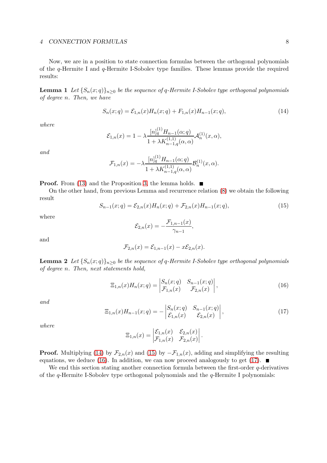Now, we are in a position to state connection formulas between the orthogonal polynomials of the q-Hermite I and q-Hermite I-Sobolev type families. These lemmas provide the required results:

**Lemma 1** Let  ${S_n(x;q)}_{n>0}$  be the sequence of q-Hermite I-Sobolev type orthogonal polynomials of degree n. Then, we have

<span id="page-7-0"></span>
$$
S_n(x;q) = \mathcal{E}_{1,n}(x)H_n(x;q) + F_{1,n}(x)H_{n-1}(x;q),
$$
\n(14)

where

$$
\mathcal{E}_{1,n}(x) = 1 - \lambda \frac{[n]_q^{(1)} H_{n-1}(\alpha;q)}{1 + \lambda K_{n-1,q}^{(1,1)}(\alpha,\alpha)} \mathcal{A}_n^{(1)}(x,\alpha),
$$

and

$$
\mathcal{F}_{1,n}(x) = -\lambda \frac{[n]_q^{(1)} H_{n-1}(\alpha;q)}{1 + \lambda K_{n-1,q}^{(1,1)}(\alpha,\alpha)} \mathcal{B}_n^{(1)}(x,\alpha).
$$

 $(1)$ 

#### **Proof.** From [\(13\)](#page-6-0) and the Proposition [3,](#page-4-2) the lemma holds.  $\blacksquare$

On the other hand, from previous Lemma and recurrence relation [\(8\)](#page-4-1) we obtain the following result

<span id="page-7-1"></span>
$$
S_{n-1}(x;q) = \mathcal{E}_{2,n}(x)H_n(x;q) + \mathcal{F}_{2,n}(x)H_{n-1}(x;q),
$$
\n(15)

where

$$
\mathcal{E}_{2,n}(x)=-\frac{\mathcal{F}_{1,n-1}(x)}{\gamma_{n-1}},
$$

and

$$
\mathcal{F}_{2,n}(x) = \mathcal{E}_{1,n-1}(x) - x\mathcal{E}_{2,n}(x).
$$

<span id="page-7-4"></span>**Lemma 2** Let  ${S_n(x;q)}_{n>0}$  be the sequence of q-Hermite I-Sobolev type orthogonal polynomials of degree n. Then, next statements hold,

<span id="page-7-2"></span>
$$
\Xi_{1,n}(x)H_n(x;q) = \begin{vmatrix} S_n(x;q) & S_{n-1}(x;q) \\ \mathcal{F}_{1,n}(x) & \mathcal{F}_{2,n}(x) \end{vmatrix},
$$
\n(16)

and

<span id="page-7-3"></span>
$$
\Xi_{1,n}(x)H_{n-1}(x;q) = -\begin{vmatrix} S_n(x;q) & S_{n-1}(x;q) \\ \mathcal{E}_{1,n}(x) & \mathcal{E}_{2,n}(x) \end{vmatrix},
$$
\n(17)

where

$$
\Xi_{1,n}(x) = \begin{vmatrix} \mathcal{E}_{1,n}(x) & \mathcal{E}_{2,n}(x) \\ \mathcal{F}_{1,n}(x) & \mathcal{F}_{2,n}(x) \end{vmatrix}.
$$

**Proof.** Multiplying [\(14\)](#page-7-0) by  $\mathcal{F}_{2,n}(x)$  and [\(15\)](#page-7-1) by  $-\mathcal{F}_{1,n}(x)$ , adding and simplifying the resulting equations, we deduce [\(16\)](#page-7-2). In addition, we can now proceed analogously to get [\(17\)](#page-7-3).

<span id="page-7-5"></span>We end this section stating another connection formula between the first-order  $q$ -derivatives of the q-Hermite I-Sobolev type orthogonal polynomials and the q-Hermite I polynomials: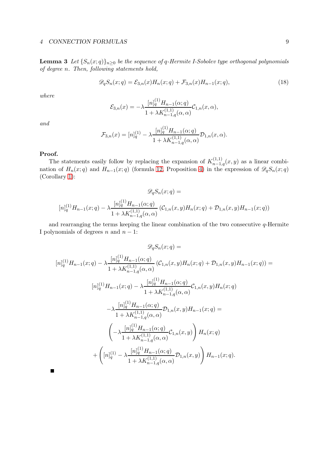**Lemma 3** Let  $\{S_n(x; q)\}_{n\geq 0}$  be the sequence of q-Hermite I-Sobolev type orthogonal polynomials of degree n. Then, following statements hold,

$$
\mathscr{D}_q S_n(x;q) = \mathcal{E}_{3,n}(x) H_n(x;q) + \mathcal{F}_{3,n}(x) H_{n-1}(x;q), \qquad (18)
$$

where

$$
\mathcal{E}_{3,n}(x) = -\lambda \frac{[n]_q^{(1)} H_{n-1}(\alpha;q)}{1 + \lambda K_{n-1,q}^{(1,1)}(\alpha,\alpha)} \mathcal{C}_{1,n}(x,\alpha),
$$

and

$$
\mathcal{F}_{3,n}(x) = [n]_q^{(1)} - \lambda \frac{[n]_q^{(1)} H_{n-1}(\alpha;q)}{1 + \lambda K_{n-1,q}^{(1,1)}(\alpha,\alpha)} \mathcal{D}_{1,n}(x,\alpha).
$$

#### Proof.

The statements easily follow by replacing the expansion of  $K_{n-1,q}^{(1,1)}(x,y)$  as a linear combination of  $H_n(x; q)$  and  $H_{n-1}(x; q)$  (formula [12,](#page-5-2) Proposition [4\)](#page-5-3) in the expression of  $\mathscr{D}_qS_n(x; q)$ (Corollary [1\)](#page-6-1):

$$
\mathcal{D}_q S_n(x;q) =
$$

$$
[n]_q^{(1)} H_{n-1}(x;q) - \lambda \frac{[n]_q^{(1)} H_{n-1}(\alpha;q)}{1 + \lambda K_{n-1,q}^{(1,1)}(\alpha,\alpha)} (\mathcal{C}_{1,n}(x,y)H_n(x;q) + \mathcal{D}_{1,n}(x,y)H_{n-1}(x;q))
$$

and rearranging the terms keeping the linear combination of the two consecutive q-Hermite I polynomials of degrees  $n$  and  $n - 1$ :

$$
\mathcal{D}_{q}S_{n}(x;q) =
$$
\n
$$
[n]_{q}^{(1)}H_{n-1}(x;q) - \lambda \frac{[n]_{q}^{(1)}H_{n-1}(\alpha;q)}{1 + \lambda K_{n-1,q}^{(1,1)}(\alpha,\alpha)} \left(C_{1,n}(x,y)H_{n}(x;q) + \mathcal{D}_{1,n}(x,y)H_{n-1}(x;q)\right) =
$$
\n
$$
[n]_{q}^{(1)}H_{n-1}(x;q) - \lambda \frac{[n]_{q}^{(1)}H_{n-1}(\alpha;q)}{1 + \lambda K_{n-1,q}^{(1,1)}(\alpha,\alpha)} \mathcal{C}_{1,n}(x,y)H_{n}(x;q)
$$
\n
$$
-\lambda \frac{[n]_{q}^{(1)}H_{n-1}(\alpha;q)}{1 + \lambda K_{n-1,q}^{(1,1)}(\alpha,\alpha)} \mathcal{D}_{1,n}(x,y)H_{n-1}(x;q) =
$$
\n
$$
\left(-\lambda \frac{[n]_{q}^{(1)}H_{n-1}(\alpha;q)}{1 + \lambda K_{n-1,q}^{(1,1)}(\alpha,\alpha)} \mathcal{C}_{1,n}(x,y)\right)H_{n}(x;q)
$$
\n
$$
+\left([n]_{q}^{(1)} - \lambda \frac{[n]_{q}^{(1)}H_{n-1}(\alpha;q)}{1 + \lambda K_{n-1,q}^{(1,1)}(\alpha,\alpha)} \mathcal{D}_{1,n}(x,y)\right)H_{n-1}(x;q).
$$

 $\blacksquare$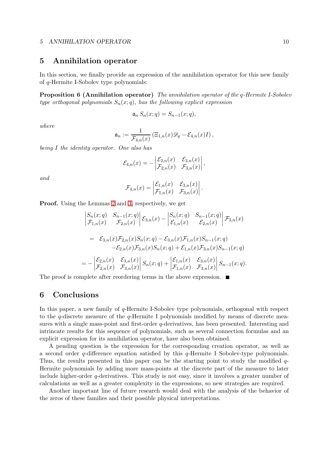#### 5 ANNIHILATION OPERATOR 10

## <span id="page-9-0"></span>5 Annihilation operator

In this section, we finally provide an expression of the annihilation operator for this new family of q-Hermite I-Sobolev type polynomials:

Proposition 6 (Annihilation operator) The annihilation operator of the q-Hermite I-Sobolev type orthogonal polynomials  $S_n(x;q)$ , has the following explicit expression

$$
\mathfrak{a}_n S_n(x;q) = S_{n-1}(x;q),
$$

where

$$
\mathfrak{a}_n := \frac{1}{\mathcal{F}_{4,n}(x)} \left( \Xi_{1,n}(x) \mathscr{D}_q - \mathcal{E}_{4,n}(x) I \right),\,
$$

being I the identity operator. One also has

$$
\mathcal{E}_{4,n}(x) = -\begin{vmatrix} \mathcal{E}_{2,n}(x) & \mathcal{E}_{3,n}(x) \\ \mathcal{F}_{2,n}(x) & \mathcal{F}_{3,n}(x) \end{vmatrix},
$$

and

$$
\mathcal{F}_{4,n}(x) = \begin{vmatrix} \mathcal{E}_{1,n}(x) & \mathcal{E}_{3,n}(x) \\ \mathcal{F}_{1,n}(x) & \mathcal{F}_{3,n}(x) \end{vmatrix}.
$$

Proof. Using the Lemmas [2](#page-7-4) and [3,](#page-7-5) respectively, we get

$$
\begin{aligned}\n& \left| \begin{matrix} S_n(x;q) & S_{n-1}(x;q) \\ \mathcal{F}_{1,n}(x) & \mathcal{F}_{2,n}(x) \end{matrix} \right| \mathcal{E}_{3,n}(x) - \begin{vmatrix} S_n(x;q) & S_{n-1}(x;q) \\ \mathcal{E}_{1,n}(x) & \mathcal{E}_{2,n}(x) \end{vmatrix} \mathcal{F}_{3,n}(x) \\
&= \mathcal{E}_{3,n}(x) \mathcal{F}_{2,n}(x) S_n(x;q) - \mathcal{E}_{3,n}(x) \mathcal{F}_{1,n}(x) S_{n-1}(x;q) \\
&- \mathcal{E}_{2,n}(x) \mathcal{F}_{3,n}(x) S_n(x;q) + \mathcal{E}_{1,n}(x) \mathcal{F}_{3,n}(x) S_{n-1}(x;q) \\
&= - \begin{vmatrix} \mathcal{E}_{2,n}(x) & \mathcal{E}_{3,n}(x) \\ \mathcal{F}_{2,n}(x) & \mathcal{F}_{3,n}(x) \end{vmatrix} S_n(x;q) + \begin{vmatrix} \mathcal{E}_{1,n}(x) & \mathcal{E}_{3,n}(x) \\ \mathcal{F}_{1,n}(x) & \mathcal{F}_{3,n}(x) \end{vmatrix} S_{n-1}(x;q).\n\end{aligned}
$$

The proof is complete after reordering terms in the above expression.  $\blacksquare$ 

# 6 Conclusions

In this paper, a new family of q-Hermite I-Sobolev type polynomials, orthogonal with respect to the q-discrete measure of the q-Hermite I polynomials modified by means of discrete measures with a single mass-point and first-order  $q$ -derivatives, has been presented. Interesting and intrincate results for this sequence of polynomials, such as several connection formulas and an explicit expression for its annihilation operator, have also been obtained.

A pending question is the expression for the corresponding creation operator, as well as a second order  $q$ -difference equation satisfied by this  $q$ -Hermite I Sobolev-type polynomials. Thus, the results presented in this paper can be the starting point to study the modified q-Hermite polynomials by adding more mass-points at the discrete part of the measure to later include higher-order q-derivatives. This study is not easy, since it involves a greater number of calculations as well as a greater complexity in the expressions, so new strategies are required.

Another important line of future research would deal with the analysis of the behavior of the zeros of these families and their possible physical interpretations.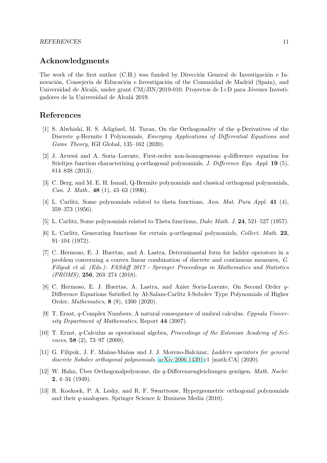# Acknowledgments

The work of the first author (C.H.) was funded by Dirección General de Investigación e Innovación, Consejería de Educación e Investigación of the Comunidad de Madrid (Spain), and Universidad de Alcalá, under grant  $CM/JIN/2019-010$ , Proyectos de I+D para Jóvenes Investigadores de la Universidad de Alcal´a 2019.

# <span id="page-10-6"></span>References

- [1] S. Alwhishi, R. S. Adigüzel, M. Turan, On the Orthogonality of the  $q$ -Derivatives of the Discrete q-Hermite I Polynomials, Emerging Applications of Differential Equations and Game Theory, IGI Global, 135–162 (2020).
- <span id="page-10-10"></span>[2] J. Arvesú and A. Soria–Lorente, First-order non-homogeneous  $q$ -difference equation for Stieltjes function characterizing q-orthogonal polynomials, J. Difference Equ. Appl. 19 (5), 814–838 (2013).
- <span id="page-10-3"></span>[3] C. Berg, and M. E. H. Ismail, Q-Hermite polynomials and classical orthogonal polynomials, Can. J. Math., 48 (1), 43–63 (1996).
- <span id="page-10-1"></span><span id="page-10-0"></span>[4] L. Carlitz, Some polynomials related to theta functions, Ann. Mat. Pura Appl. 41 (4), 359–373 (1956).
- <span id="page-10-2"></span>[5] L. Carlitz, Some polynomials related to Theta functions, Duke Math. J. 24, 521–527 (1957).
- [6] L. Carlitz, Generating functions for certain q-orthogonal polynomials, Collect. Math. 23, 91–104 (1972).
- <span id="page-10-8"></span>[7] C. Hermoso, E. J. Huertas, and A. Lastra, Determinantal form for ladder operators in a problem concerning a convex linear combination of discrete and continuous measures, G. Filipuk et al. (Eds.): FASdiff 2017 - Springer Proceedings in Mathematics and Statistics (PROMS), 256, 263–274 (2018).
- <span id="page-10-9"></span>[8] C. Hermoso, E. J. Huertas, A. Lastra, and Anier Soria-Lorente, On Second Order q-Difference Equations Satisfied by Al-Salam-Carlitz I-Sobolev Type Polynomials of Higher Order, Mathematics, 8 (8), 1300 (2020).
- <span id="page-10-11"></span>[9] T. Ernst, q-Complex Numbers, A natural consequence of umbral calculus. Uppsala University Department of Mathematics, Report 44 (2007).
- <span id="page-10-12"></span>[10] T. Ernst, q-Calculus as operational algebra, Proceedings of the Estonian Academy of Sciences, 58 (2), 73–97 (2009).
- <span id="page-10-7"></span>[11] G. Filipuk, J. F. Mañas-Mañas and J. J. Moreno-Balcázar, Ladders operators for general discrete Sobolev orthogonal polynomials. [arXiv:2006.14391v](http://arxiv.org/abs/2006.14391)1 [math.CA] (2020).
- <span id="page-10-4"></span>[12] W. Hahn, Über Orthogonalpolynome, die *q*-Differenzengleichungen genügen. *Math. Nachr.* 2, 4–34 (1949).
- <span id="page-10-5"></span>[13] R. Koekoek, P. A. Lesky, and R. F. Swarttouw, Hypergeometric orthogonal polynomials and their q-analogues. Springer Science & Business Media (2010).